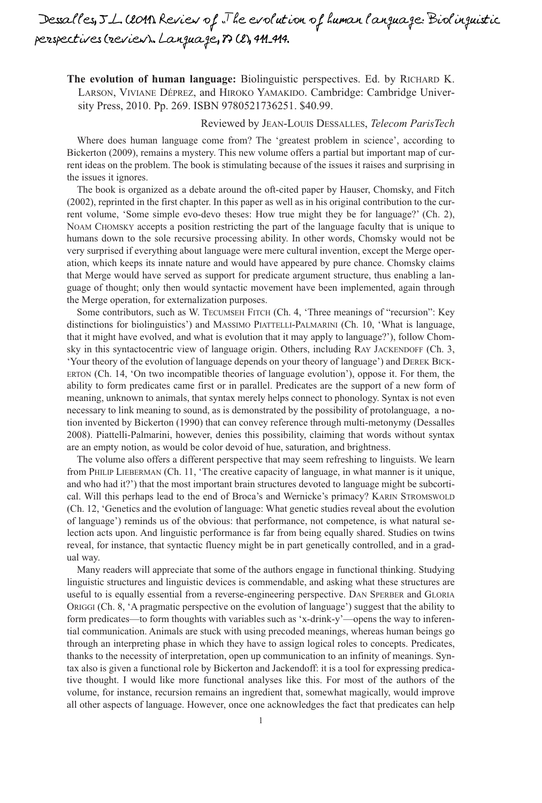## *Dessalles, J-L. (2011). Review of "The evolution of human language: Biolinguistic perspectives (review)". Language, 87 (2), 411-414.*

**The evolution of human language:** Biolinguistic perspectives. Ed. by RICHARD K. LARSON, VIVIANE DÉPREZ, and HIROKO YAMAKIDO. Cambridge: Cambridge University Press, 2010. Pp. 269. ISBN 9780521736251. \$40.99.

## Reviewed by JEAN-LOUIS DESSALLES, *Telecom ParisTech*

Where does human language come from? The 'greatest problem in science', according to Bickerton (2009), remains a mystery. This new volume offers a partial but important map of current ideas on the problem. The book is stimulating because of the issues it raises and surprising in the issues it ignores.

The book is organized as a debate around the oft-cited paper by Hauser, Chomsky, and Fitch (2002), reprinted in the first chapter. In this paper as well as in his original contribution to the current volume, 'Some simple evo-devo theses: How true might they be for language?' (Ch. 2), NOAM CHOMSKY accepts a position restricting the part of the language faculty that is unique to humans down to the sole recursive processing ability. In other words, Chomsky would not be very surprised if everything about language were mere cultural invention, except the Merge operation, which keeps its innate nature and would have appeared by pure chance. Chomsky claims that Merge would have served as support for predicate argument structure, thus enabling a language of thought; only then would syntactic movement have been implemented, again through the Merge operation, for externalization purposes.

Some contributors, such as W. TECUMSEH FITCH (Ch. 4, 'Three meanings of "recursion": Key distinctions for biolinguistics') and MASSIMO PIATTELLI-PALMARINI (Ch. 10, 'What is language, that it might have evolved, and what is evolution that it may apply to language?'), follow Chomsky in this syntactocentric view of language origin. Others, including RAY JACKENDOFF (Ch. 3, 'Your theory of the evolution of language depends on your theory of language') and DEREK BICK-ERTON (Ch. 14, 'On two incompatible theories of language evolution'), oppose it. For them, the ability to form predicates came first or in parallel. Predicates are the support of a new form of meaning, unknown to animals, that syntax merely helps connect to phonology. Syntax is not even necessary to link meaning to sound, as is demonstrated by the possibility of protolanguage, a notion invented by Bickerton (1990) that can convey reference through multi-metonymy (Dessalles 2008). Piattelli-Palmarini, however, denies this possibility, claiming that words without syntax are an empty notion, as would be color devoid of hue, saturation, and brightness.

The volume also offers a different perspective that may seem refreshing to linguists. We learn from PHILIP LIEBERMAN (Ch. 11, 'The creative capacity of language, in what manner is it unique, and who had it?') that the most important brain structures devoted to language might be subcortical. Will this perhaps lead to the end of Broca's and Wernicke's primacy? KARIN STROMSWOLD (Ch. 12, 'Genetics and the evolution of language: What genetic studies reveal about the evolution of language') reminds us of the obvious: that performance, not competence, is what natural selection acts upon. And linguistic performance is far from being equally shared. Studies on twins reveal, for instance, that syntactic fluency might be in part genetically controlled, and in a gradual way.

Many readers will appreciate that some of the authors engage in functional thinking. Studying linguistic structures and linguistic devices is commendable, and asking what these structures are useful to is equally essential from a reverse-engineering perspective. DAN SPERBER and GLORIA ORIGGI (Ch. 8, 'A pragmatic perspective on the evolution of language') suggest that the ability to form predicates—to form thoughts with variables such as 'x-drink-y'—opens the way to inferential communication. Animals are stuck with using precoded meanings, whereas human beings go through an interpreting phase in which they have to assign logical roles to concepts. Predicates, thanks to the necessity of interpretation, open up communication to an infinity of meanings. Syntax also is given a functional role by Bickerton and Jackendoff: it is a tool for expressing predicative thought. I would like more functional analyses like this. For most of the authors of the volume, for instance, recursion remains an ingredient that, somewhat magically, would improve all other aspects of language. However, once one acknowledges the fact that predicates can help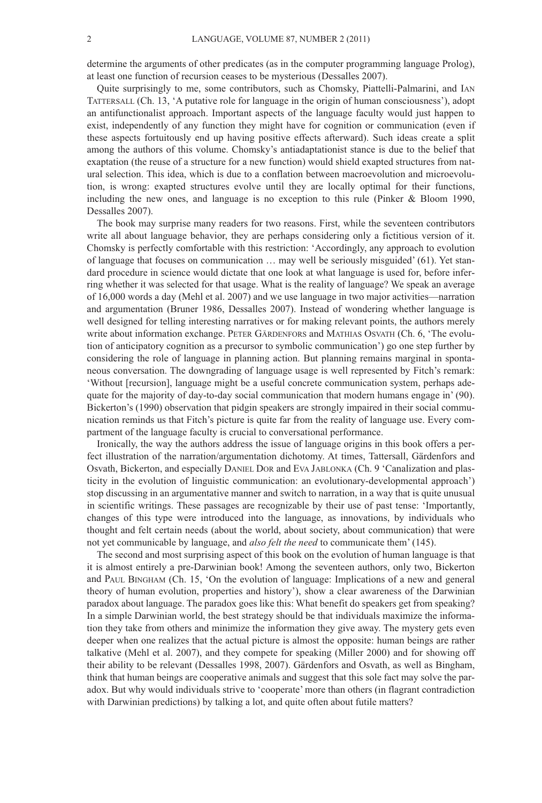determine the arguments of other predicates (as in the computer programming language Prolog), at least one function of recursion ceases to be mysterious (Dessalles 2007).

Quite surprisingly to me, some contributors, such as Chomsky, Piattelli-Palmarini, and IAN TATTERSALL (Ch. 13, 'A putative role for language in the origin of human consciousness'), adopt an antifunctionalist approach. Important aspects of the language faculty would just happen to exist, independently of any function they might have for cognition or communication (even if these aspects fortuitously end up having positive effects afterward). Such ideas create a split among the authors of this volume. Chomsky's antiadaptationist stance is due to the belief that exaptation (the reuse of a structure for a new function) would shield exapted structures from natural selection. This idea, which is due to a conflation between macroevolution and microevolution, is wrong: exapted structures evolve until they are locally optimal for their functions, including the new ones, and language is no exception to this rule (Pinker & Bloom 1990, Dessalles 2007).

The book may surprise many readers for two reasons. First, while the seventeen contributors write all about language behavior, they are perhaps considering only a fictitious version of it. Chomsky is perfectly comfortable with this restriction: 'Accordingly, any approach to evolution of language that focuses on communication … may well be seriously misguided' (61). Yet standard procedure in science would dictate that one look at what language is used for, before inferring whether it was selected for that usage. What is the reality of language? We speak an average of 16,000 words a day (Mehl et al. 2007) and we use language in two major activities—narration and argumentation (Bruner 1986, Dessalles 2007). Instead of wondering whether language is well designed for telling interesting narratives or for making relevant points, the authors merely write about information exchange. PETER GÄRDENFORS and MATHIAS OSVATH (Ch. 6, 'The evolution of anticipatory cognition as a precursor to symbolic communication') go one step further by considering the role of language in planning action. But planning remains marginal in spontaneous conversation. The downgrading of language usage is well represented by Fitch's remark: 'Without [recursion], language might be a useful concrete communication system, perhaps adequate for the majority of day-to-day social communication that modern humans engage in' (90). Bickerton's (1990) observation that pidgin speakers are strongly impaired in their social communication reminds us that Fitch's picture is quite far from the reality of language use. Every compartment of the language faculty is crucial to conversational performance.

Ironically, the way the authors address the issue of language origins in this book offers a perfect illustration of the narration/argumentation dichotomy. At times, Tattersall, Gärdenfors and Osvath, Bickerton, and especially DANIEL DOR and EVA JABLONKA (Ch. 9 'Canalization and plasticity in the evolution of linguistic communication: an evolutionary-developmental approach') stop discussing in an argumentative manner and switch to narration, in a way that is quite unusual in scientific writings. These passages are recognizable by their use of past tense: 'Importantly, changes of this type were introduced into the language, as innovations, by individuals who thought and felt certain needs (about the world, about society, about communication) that were not yet communicable by language, and *also felt the need* to communicate them' (145).

The second and most surprising aspect of this book on the evolution of human language is that it is almost entirely a pre-Darwinian book! Among the seventeen authors, only two, Bickerton and PAUL BINGHAM (Ch. 15, 'On the evolution of language: Implications of a new and general theory of human evolution, properties and history'), show a clear awareness of the Darwinian paradox about language. The paradox goes like this: What benefit do speakers get from speaking? In a simple Darwinian world, the best strategy should be that individuals maximize the information they take from others and minimize the information they give away. The mystery gets even deeper when one realizes that the actual picture is almost the opposite: human beings are rather talkative (Mehl et al. 2007), and they compete for speaking (Miller 2000) and for showing off their ability to be relevant (Dessalles 1998, 2007). Gärdenfors and Osvath, as well as Bingham, think that human beings are cooperative animals and suggest that this sole fact may solve the paradox. But why would individuals strive to 'cooperate' more than others (in flagrant contradiction with Darwinian predictions) by talking a lot, and quite often about futile matters?